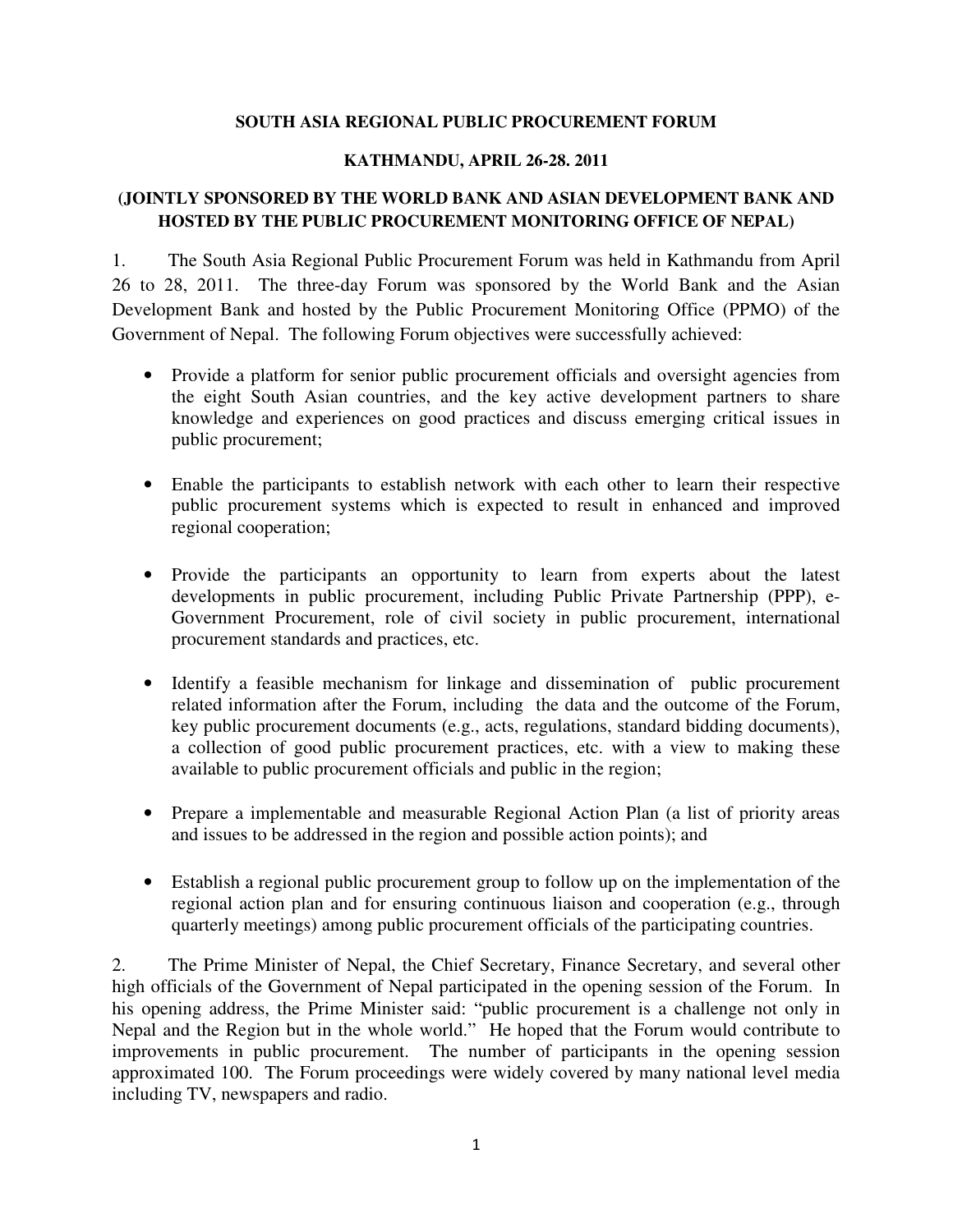## **SOUTH ASIA REGIONAL PUBLIC PROCUREMENT FORUM**

## **KATHMANDU, APRIL 26-28. 2011**

## **(JOINTLY SPONSORED BY THE WORLD BANK AND ASIAN DEVELOPMENT BANK AND HOSTED BY THE PUBLIC PROCUREMENT MONITORING OFFICE OF NEPAL)**

1. The South Asia Regional Public Procurement Forum was held in Kathmandu from April 26 to 28, 2011. The three-day Forum was sponsored by the World Bank and the Asian Development Bank and hosted by the Public Procurement Monitoring Office (PPMO) of the Government of Nepal. The following Forum objectives were successfully achieved:

- Provide a platform for senior public procurement officials and oversight agencies from the eight South Asian countries, and the key active development partners to share knowledge and experiences on good practices and discuss emerging critical issues in public procurement;
- Enable the participants to establish network with each other to learn their respective public procurement systems which is expected to result in enhanced and improved regional cooperation;
- Provide the participants an opportunity to learn from experts about the latest developments in public procurement, including Public Private Partnership (PPP), e-Government Procurement, role of civil society in public procurement, international procurement standards and practices, etc.
- Identify a feasible mechanism for linkage and dissemination of public procurement related information after the Forum, including the data and the outcome of the Forum, key public procurement documents (e.g., acts, regulations, standard bidding documents), a collection of good public procurement practices, etc. with a view to making these available to public procurement officials and public in the region;
- Prepare a implementable and measurable Regional Action Plan (a list of priority areas and issues to be addressed in the region and possible action points); and
- Establish a regional public procurement group to follow up on the implementation of the regional action plan and for ensuring continuous liaison and cooperation (e.g., through quarterly meetings) among public procurement officials of the participating countries.

2. The Prime Minister of Nepal, the Chief Secretary, Finance Secretary, and several other high officials of the Government of Nepal participated in the opening session of the Forum. In his opening address, the Prime Minister said: "public procurement is a challenge not only in Nepal and the Region but in the whole world." He hoped that the Forum would contribute to improvements in public procurement. The number of participants in the opening session approximated 100. The Forum proceedings were widely covered by many national level media including TV, newspapers and radio.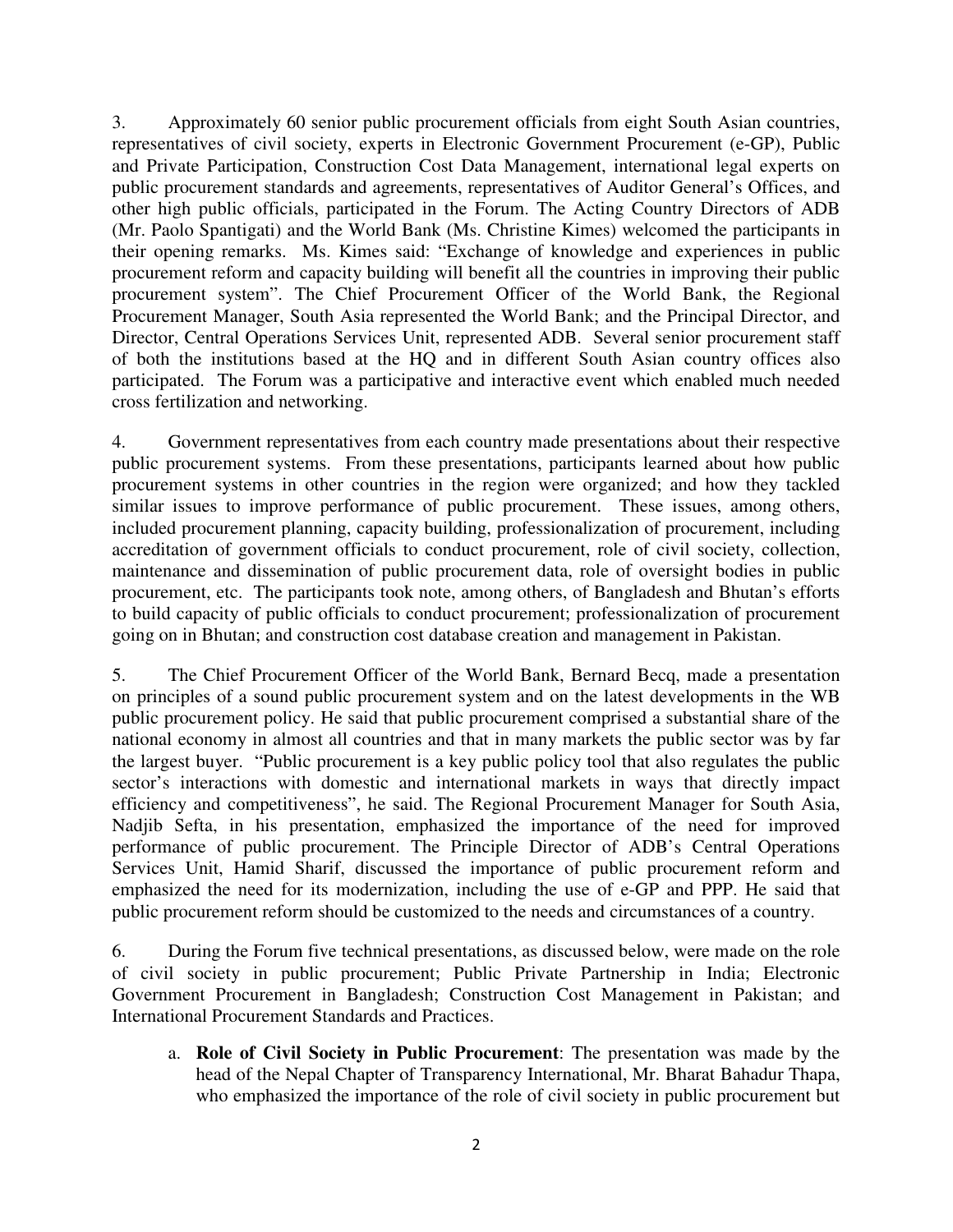3. Approximately 60 senior public procurement officials from eight South Asian countries, representatives of civil society, experts in Electronic Government Procurement (e-GP), Public and Private Participation, Construction Cost Data Management, international legal experts on public procurement standards and agreements, representatives of Auditor General's Offices, and other high public officials, participated in the Forum. The Acting Country Directors of ADB (Mr. Paolo Spantigati) and the World Bank (Ms. Christine Kimes) welcomed the participants in their opening remarks. Ms. Kimes said: "Exchange of knowledge and experiences in public procurement reform and capacity building will benefit all the countries in improving their public procurement system". The Chief Procurement Officer of the World Bank, the Regional Procurement Manager, South Asia represented the World Bank; and the Principal Director, and Director, Central Operations Services Unit, represented ADB. Several senior procurement staff of both the institutions based at the HQ and in different South Asian country offices also participated. The Forum was a participative and interactive event which enabled much needed cross fertilization and networking.

4. Government representatives from each country made presentations about their respective public procurement systems. From these presentations, participants learned about how public procurement systems in other countries in the region were organized; and how they tackled similar issues to improve performance of public procurement. These issues, among others, included procurement planning, capacity building, professionalization of procurement, including accreditation of government officials to conduct procurement, role of civil society, collection, maintenance and dissemination of public procurement data, role of oversight bodies in public procurement, etc. The participants took note, among others, of Bangladesh and Bhutan's efforts to build capacity of public officials to conduct procurement; professionalization of procurement going on in Bhutan; and construction cost database creation and management in Pakistan.

5. The Chief Procurement Officer of the World Bank, Bernard Becq, made a presentation on principles of a sound public procurement system and on the latest developments in the WB public procurement policy. He said that public procurement comprised a substantial share of the national economy in almost all countries and that in many markets the public sector was by far the largest buyer. "Public procurement is a key public policy tool that also regulates the public sector's interactions with domestic and international markets in ways that directly impact efficiency and competitiveness", he said. The Regional Procurement Manager for South Asia, Nadjib Sefta, in his presentation, emphasized the importance of the need for improved performance of public procurement. The Principle Director of ADB's Central Operations Services Unit, Hamid Sharif, discussed the importance of public procurement reform and emphasized the need for its modernization, including the use of e-GP and PPP. He said that public procurement reform should be customized to the needs and circumstances of a country.

6. During the Forum five technical presentations, as discussed below, were made on the role of civil society in public procurement; Public Private Partnership in India; Electronic Government Procurement in Bangladesh; Construction Cost Management in Pakistan; and International Procurement Standards and Practices.

a. **Role of Civil Society in Public Procurement**: The presentation was made by the head of the Nepal Chapter of Transparency International, Mr. Bharat Bahadur Thapa, who emphasized the importance of the role of civil society in public procurement but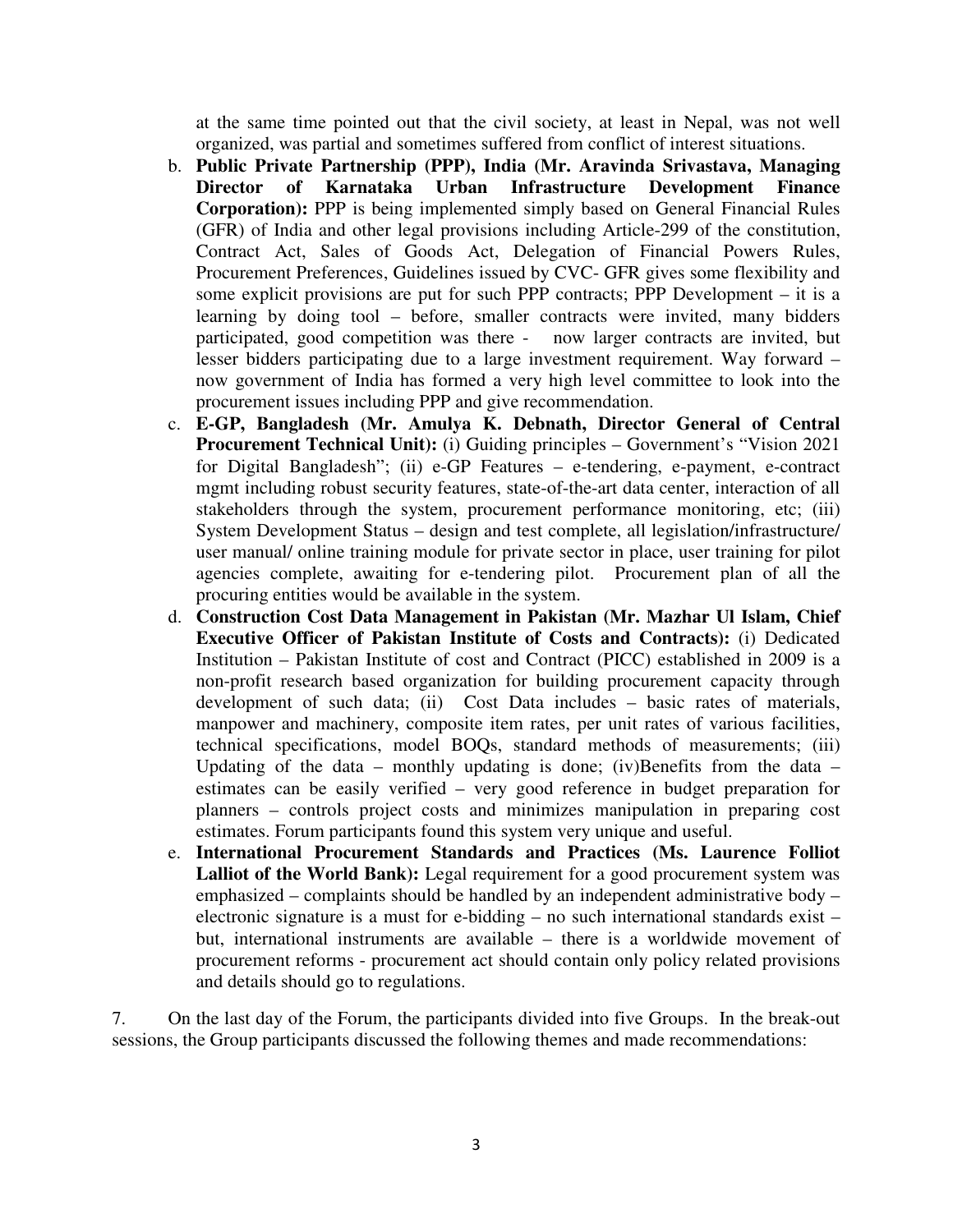at the same time pointed out that the civil society, at least in Nepal, was not well organized, was partial and sometimes suffered from conflict of interest situations.

- b. **Public Private Partnership (PPP), India (Mr. Aravinda Srivastava, Managing Director of Karnataka Urban Infrastructure Development Finance Corporation):** PPP is being implemented simply based on General Financial Rules (GFR) of India and other legal provisions including Article-299 of the constitution, Contract Act, Sales of Goods Act, Delegation of Financial Powers Rules, Procurement Preferences, Guidelines issued by CVC- GFR gives some flexibility and some explicit provisions are put for such PPP contracts; PPP Development – it is a learning by doing tool – before, smaller contracts were invited, many bidders participated, good competition was there - now larger contracts are invited, but lesser bidders participating due to a large investment requirement. Way forward – now government of India has formed a very high level committee to look into the procurement issues including PPP and give recommendation.
- c. **E-GP, Bangladesh (Mr. Amulya K. Debnath, Director General of Central Procurement Technical Unit):** (i) Guiding principles – Government's "Vision 2021 for Digital Bangladesh"; (ii) e-GP Features – e-tendering, e-payment, e-contract mgmt including robust security features, state-of-the-art data center, interaction of all stakeholders through the system, procurement performance monitoring, etc; (iii) System Development Status – design and test complete, all legislation/infrastructure/ user manual/ online training module for private sector in place, user training for pilot agencies complete, awaiting for e-tendering pilot. Procurement plan of all the procuring entities would be available in the system.
- d. **Construction Cost Data Management in Pakistan (Mr. Mazhar Ul Islam, Chief Executive Officer of Pakistan Institute of Costs and Contracts):** (i) Dedicated Institution – Pakistan Institute of cost and Contract (PICC) established in 2009 is a non-profit research based organization for building procurement capacity through development of such data; (ii) Cost Data includes – basic rates of materials, manpower and machinery, composite item rates, per unit rates of various facilities, technical specifications, model BOQs, standard methods of measurements; (iii) Updating of the data – monthly updating is done; (iv)Benefits from the data – estimates can be easily verified – very good reference in budget preparation for planners – controls project costs and minimizes manipulation in preparing cost estimates. Forum participants found this system very unique and useful.
- e. **International Procurement Standards and Practices (Ms. Laurence Folliot**  Lalliot of the World Bank): Legal requirement for a good procurement system was emphasized – complaints should be handled by an independent administrative body – electronic signature is a must for e-bidding – no such international standards exist – but, international instruments are available – there is a worldwide movement of procurement reforms - procurement act should contain only policy related provisions and details should go to regulations.

7. On the last day of the Forum, the participants divided into five Groups. In the break-out sessions, the Group participants discussed the following themes and made recommendations: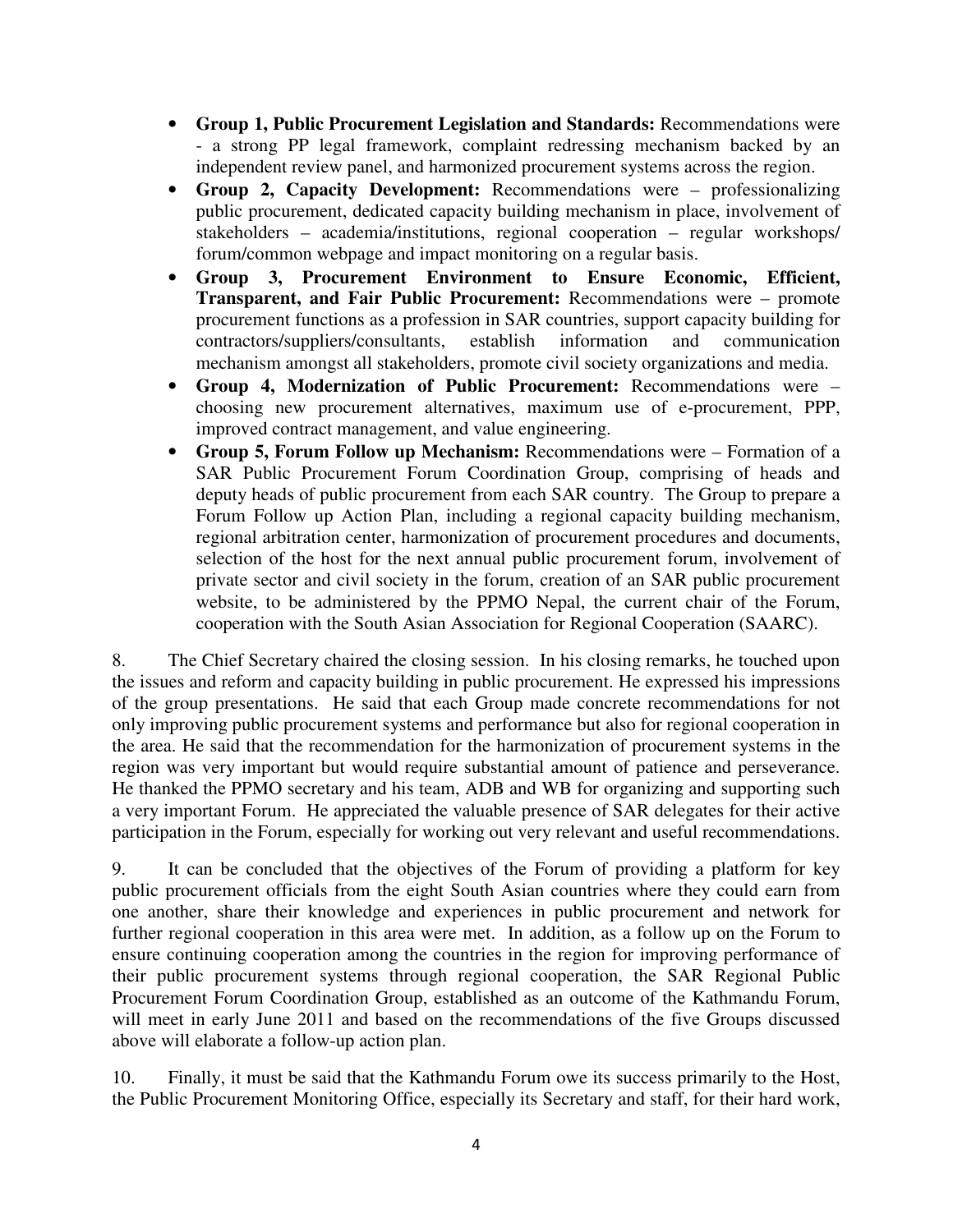- **Group 1, Public Procurement Legislation and Standards:** Recommendations were - a strong PP legal framework, complaint redressing mechanism backed by an independent review panel, and harmonized procurement systems across the region.
- **Group 2, Capacity Development:** Recommendations were professionalizing public procurement, dedicated capacity building mechanism in place, involvement of stakeholders – academia/institutions, regional cooperation – regular workshops/ forum/common webpage and impact monitoring on a regular basis.
- **Group 3, Procurement Environment to Ensure Economic, Efficient, Transparent, and Fair Public Procurement:** Recommendations were – promote procurement functions as a profession in SAR countries, support capacity building for contractors/suppliers/consultants, establish information and communication mechanism amongst all stakeholders, promote civil society organizations and media.
- **Group 4, Modernization of Public Procurement:** Recommendations were choosing new procurement alternatives, maximum use of e-procurement, PPP, improved contract management, and value engineering.
- **Group 5, Forum Follow up Mechanism:** Recommendations were Formation of a SAR Public Procurement Forum Coordination Group, comprising of heads and deputy heads of public procurement from each SAR country. The Group to prepare a Forum Follow up Action Plan, including a regional capacity building mechanism, regional arbitration center, harmonization of procurement procedures and documents, selection of the host for the next annual public procurement forum, involvement of private sector and civil society in the forum, creation of an SAR public procurement website, to be administered by the PPMO Nepal, the current chair of the Forum, cooperation with the South Asian Association for Regional Cooperation (SAARC).

8. The Chief Secretary chaired the closing session. In his closing remarks, he touched upon the issues and reform and capacity building in public procurement. He expressed his impressions of the group presentations. He said that each Group made concrete recommendations for not only improving public procurement systems and performance but also for regional cooperation in the area. He said that the recommendation for the harmonization of procurement systems in the region was very important but would require substantial amount of patience and perseverance. He thanked the PPMO secretary and his team, ADB and WB for organizing and supporting such a very important Forum. He appreciated the valuable presence of SAR delegates for their active participation in the Forum, especially for working out very relevant and useful recommendations.

9. It can be concluded that the objectives of the Forum of providing a platform for key public procurement officials from the eight South Asian countries where they could earn from one another, share their knowledge and experiences in public procurement and network for further regional cooperation in this area were met. In addition, as a follow up on the Forum to ensure continuing cooperation among the countries in the region for improving performance of their public procurement systems through regional cooperation, the SAR Regional Public Procurement Forum Coordination Group, established as an outcome of the Kathmandu Forum, will meet in early June 2011 and based on the recommendations of the five Groups discussed above will elaborate a follow-up action plan.

10. Finally, it must be said that the Kathmandu Forum owe its success primarily to the Host, the Public Procurement Monitoring Office, especially its Secretary and staff, for their hard work,